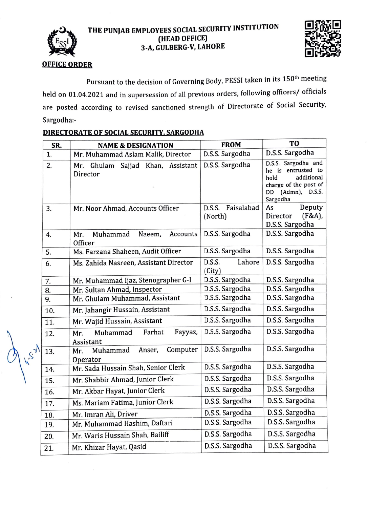

## THE PUNJAB EMPLOYEES SOCIAL SECURITY INSTITUTION<br>(HEAD OFFICE) 3-A, GULBERG-V, LAHORE



## **OFFICE ORDER**

Pursuant to the decision of Governing Body, PESSI taken in its 150<sup>th</sup> meeting held on 01.04.2021 and in supersession of all previous orders, following officers/ officials are posted according to revised sanctioned strength of Directorate of Social Security, Sargodha:

| SR.              | <b>NAME &amp; DESIGNATION</b>                       | <b>FROM</b>                     | T <sub>0</sub>                                                                                                                  |
|------------------|-----------------------------------------------------|---------------------------------|---------------------------------------------------------------------------------------------------------------------------------|
| 1.               | Mr. Muhammad Aslam Malik, Director                  | D.S.S. Sargodha                 | D.S.S. Sargodha                                                                                                                 |
| 2.               | Sajjad Khan, Assistant<br>Mr.<br>Ghulam<br>Director | D.S.S. Sargodha                 | D.S.S. Sargodha and<br>he is entrusted to<br>additional<br>hold<br>charge of the post of<br>$(Admn)$ , D.S.S.<br>DD<br>Sargodha |
| 3.               | Mr. Noor Ahmad, Accounts Officer                    | Faisalabad<br>D.S.S.<br>(North) | Deputy<br>As<br>(F&A),<br>Director<br>D.S.S. Sargodha                                                                           |
| 4.               | Muhammad<br>Naeem,<br>Accounts<br>Mr.<br>Officer    | D.S.S. Sargodha                 | D.S.S. Sargodha                                                                                                                 |
| 5.               | Ms. Farzana Shaheen, Audit Officer                  | D.S.S. Sargodha                 | D.S.S. Sargodha                                                                                                                 |
| 6.               | Ms. Zahida Nasreen, Assistant Director              | D.S.S.<br>Lahore<br>(City)      | D.S.S. Sargodha                                                                                                                 |
| 7.               | Mr. Muhammad Ijaz, Stenographer G-I                 | D.S.S. Sargodha                 | D.S.S. Sargodha                                                                                                                 |
| 8.               | Mr. Sultan Ahmad, Inspector                         | D.S.S. Sargodha                 | D.S.S. Sargodha                                                                                                                 |
| 9.               | Mr. Ghulam Muhammad, Assistant                      | D.S.S. Sargodha                 | D.S.S. Sargodha                                                                                                                 |
| 10.              | Mr. Jahangir Hussain, Assistant                     | D.S.S. Sargodha                 | D.S.S. Sargodha                                                                                                                 |
| 11.              | Mr. Wajid Hussain, Assistant                        | D.S.S. Sargodha                 | D.S.S. Sargodha                                                                                                                 |
| 12.              | Farhat<br>Fayyaz,<br>Muhammad<br>Mr.<br>Assistant   | D.S.S. Sargodha                 | D.S.S. Sargodha                                                                                                                 |
| $\lambda$<br>13. | Computer<br>Muhammad<br>Anser,<br>Mr.<br>Operator   | D.S.S. Sargodha                 | D.S.S. Sargodha                                                                                                                 |
| 14.              | Mr. Sada Hussain Shah, Senior Clerk                 | D.S.S. Sargodha                 | D.S.S. Sargodha                                                                                                                 |
| 15.              | Mr. Shabbir Ahmad, Junior Clerk                     | D.S.S. Sargodha                 | D.S.S. Sargodha                                                                                                                 |
| 16.              | Mr. Akbar Hayat, Junior Clerk                       | D.S.S. Sargodha                 | D.S.S. Sargodha                                                                                                                 |
| 17.              | Ms. Mariam Fatima, Junior Clerk                     | D.S.S. Sargodha                 | D.S.S. Sargodha                                                                                                                 |
| 18.              | Mr. Imran Ali, Driver                               | D.S.S. Sargodha                 | D.S.S. Sargodha                                                                                                                 |
| 19.              | Mr. Muhammad Hashim, Daftari                        | D.S.S. Sargodha                 | D.S.S. Sargodha                                                                                                                 |
| 20.              | Mr. Waris Hussain Shah, Bailiff                     | D.S.S. Sargodha                 | D.S.S. Sargodha                                                                                                                 |
| 21.              | Mr. Khizar Hayat, Qasid                             | D.S.S. Sargodha                 | D.S.S. Sargodha                                                                                                                 |

## DIRECTORATE OF SOCIAL SECURITY, SARGODHA